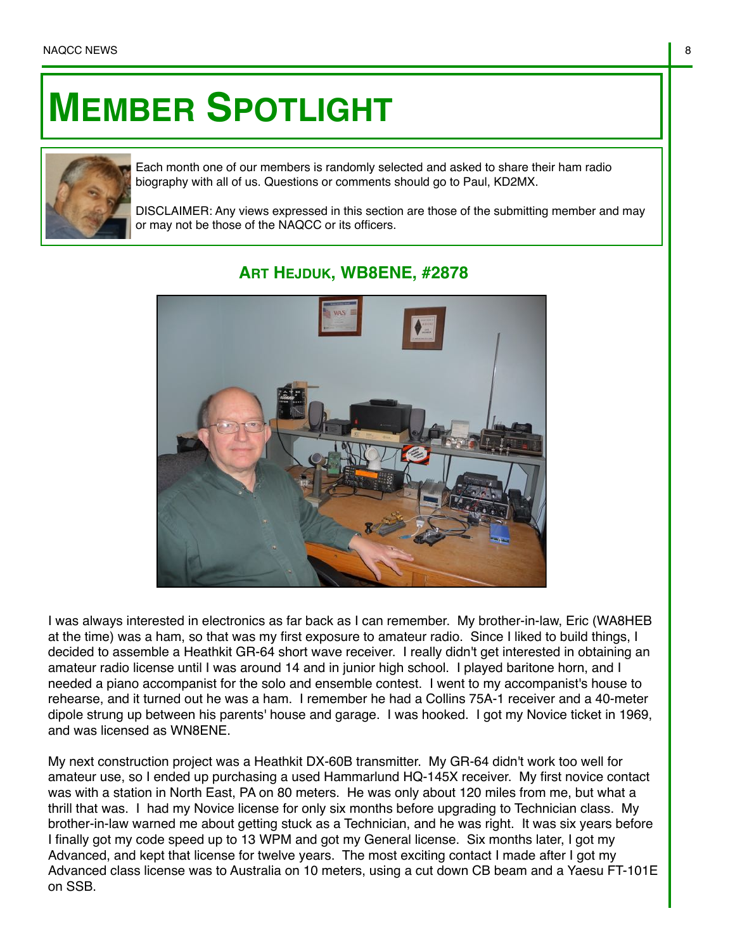## **MEMBER SPOTLIGHT**



Each month one of our members is randomly selected and asked to share their ham radio biography with all of us. Questions or comments should go to Paul, KD2MX.

DISCLAIMER: Any views expressed in this section are those of the submitting member and may or may not be those of the NAQCC or its officers.



## **ART HEJDUK, WB8ENE, #2878**

I was always interested in electronics as far back as I can remember. My brother-in-law, Eric (WA8HEB at the time) was a ham, so that was my first exposure to amateur radio. Since I liked to build things, I decided to assemble a Heathkit GR-64 short wave receiver. I really didn't get interested in obtaining an amateur radio license until I was around 14 and in junior high school. I played baritone horn, and I needed a piano accompanist for the solo and ensemble contest. I went to my accompanist's house to rehearse, and it turned out he was a ham. I remember he had a Collins 75A-1 receiver and a 40-meter dipole strung up between his parents' house and garage. I was hooked. I got my Novice ticket in 1969, and was licensed as WN8ENE.

My next construction project was a Heathkit DX-60B transmitter. My GR-64 didn't work too well for amateur use, so I ended up purchasing a used Hammarlund HQ-145X receiver. My first novice contact was with a station in North East, PA on 80 meters. He was only about 120 miles from me, but what a thrill that was. I had my Novice license for only six months before upgrading to Technician class. My brother-in-law warned me about getting stuck as a Technician, and he was right. It was six years before I finally got my code speed up to 13 WPM and got my General license. Six months later, I got my Advanced, and kept that license for twelve years. The most exciting contact I made after I got my Advanced class license was to Australia on 10 meters, using a cut down CB beam and a Yaesu FT-101E on SSB.